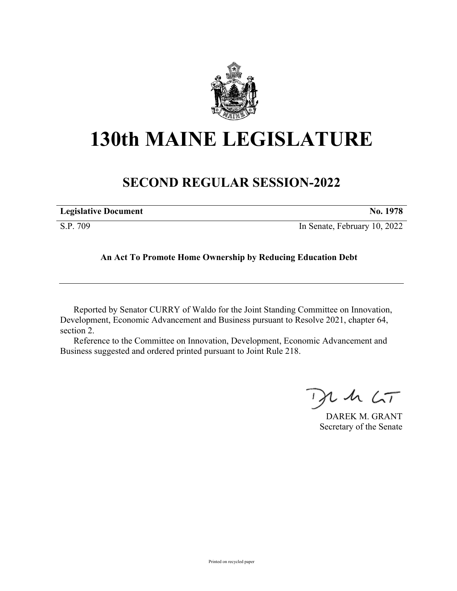

## **130th MAINE LEGISLATURE**

## **SECOND REGULAR SESSION-2022**

| <b>Legislative Document</b> | No. 1978                     |
|-----------------------------|------------------------------|
| S.P. 709                    | In Senate, February 10, 2022 |

**An Act To Promote Home Ownership by Reducing Education Debt**

Reported by Senator CURRY of Waldo for the Joint Standing Committee on Innovation, Development, Economic Advancement and Business pursuant to Resolve 2021, chapter 64, section 2.

Reference to the Committee on Innovation, Development, Economic Advancement and Business suggested and ordered printed pursuant to Joint Rule 218.

 $125$ 

DAREK M. GRANT Secretary of the Senate